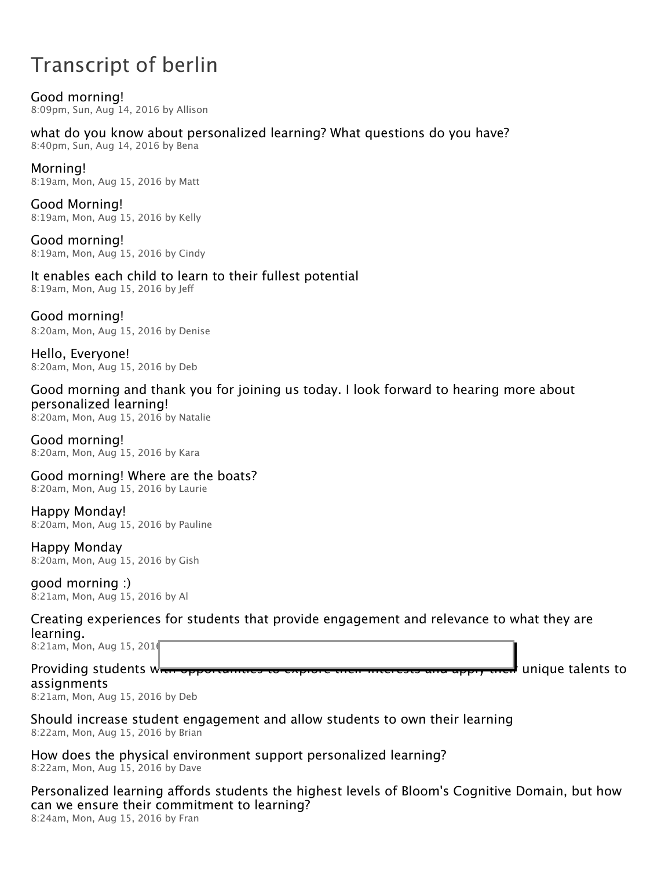# Transcript of berlin

Good morning! 8:09pm, Sun, Aug 14, 2016 by Allison

what do you know about personalized learning? What questions do you have?

8:40pm, Sun, Aug 14, 2016 by Bena

### Morning!

8:19am, Mon, Aug 15, 2016 by Matt

Good Morning! 8:19am, Mon, Aug 15, 2016 by Kelly

Good morning! 8:19am, Mon, Aug 15, 2016 by Cindy

# It enables each child to learn to their fullest potential

8:19am, Mon, Aug 15, 2016 by Jeff

Good morning! 8:20am, Mon, Aug 15, 2016 by Denise

Hello, Everyone! 8:20am, Mon, Aug 15, 2016 by Deb

# Good morning and thank you for joining us today. I look forward to hearing more about personalized learning!

8:20am, Mon, Aug 15, 2016 by Natalie

Good morning! 8:20am, Mon, Aug 15, 2016 by Kara

Good morning! Where are the boats? 8:20am, Mon, Aug 15, 2016 by Laurie

Happy Monday! 8:20am, Mon, Aug 15, 2016 by Pauline

Happy Monday 8:20am, Mon, Aug 15, 2016 by Gish

#### good morning :) 8:21am, Mon, Aug 15, 2016 by Al

Creating experiences for students that provide engagement and relevance to what they are learning.

8:21am, Mon, Aug 15, 201

Providing students w<del>hen opportunities to explore their interests and apply their</del> unique talents to assignments

8:21am, Mon, Aug 15, 2016 by Deb

Should increase student engagement and allow students to own their learning 8:22am, Mon, Aug 15, 2016 by Brian

How does the physical environment support personalized learning? 8:22am, Mon, Aug 15, 2016 by Dave

Personalized learning affords students the highest levels of Bloom's Cognitive Domain, but how can we ensure their commitment to learning? 8:24am, Mon, Aug 15, 2016 by Fran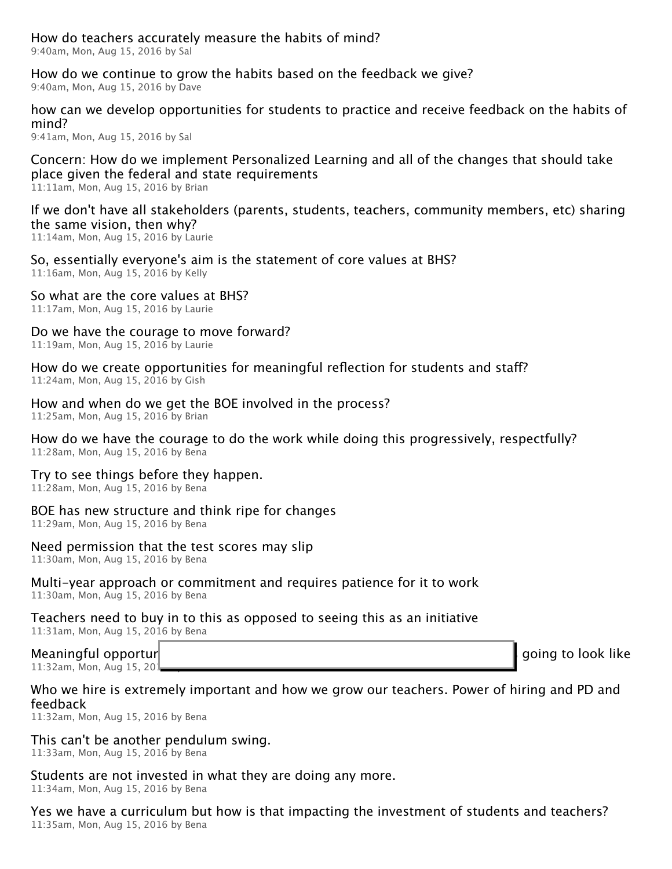How do teachers accurately measure the habits of mind? 9:40am, Mon, Aug 15, 2016 by Sal

How do we continue to grow the habits based on the feedback we give? 9:40am, Mon, Aug 15, 2016 by Dave

how can we develop opportunities for students to practice and receive feedback on the habits of mind?

9:41am, Mon, Aug 15, 2016 by Sal

Concern: How do we implement Personalized Learning and all of the changes that should take place given the federal and state requirements

11:11am, Mon, Aug 15, 2016 by Brian

If we don't have all stakeholders (parents, students, teachers, community members, etc) sharing the same vision, then why?

11:14am, Mon, Aug 15, 2016 by Laurie

So, essentially everyone's aim is the statement of core values at BHS? 11:16am, Mon, Aug 15, 2016 by Kelly

So what are the core values at BHS? 11:17am, Mon, Aug 15, 2016 by Laurie

Do we have the courage to move forward? 11:19am, Mon, Aug 15, 2016 by Laurie

How do we create opportunities for meaningful reflection for students and staff? 11:24am, Mon, Aug 15, 2016 by Gish

How and when do we get the BOE involved in the process? 11:25am, Mon, Aug 15, 2016 by Brian

How do we have the courage to do the work while doing this progressively, respectfully? 11:28am, Mon, Aug 15, 2016 by Bena

Try to see things before they happen.

11:28am, Mon, Aug 15, 2016 by Bena

# BOE has new structure and think ripe for changes

11:29am, Mon, Aug 15, 2016 by Bena

# Need permission that the test scores may slip

11:30am, Mon, Aug 15, 2016 by Bena

#### Multi-year approach or commitment and requires patience for it to work 11:30am, Mon, Aug 15, 2016 by Bena

#### Teachers need to buy in to this as opposed to seeing this as an initiative 11:31am, Mon, Aug 15, 2016 by Bena

Meaningful opporturity that we are committed to analyze  $\Box$  are committed to and are committed to and are committed to and are committed to and are committed to analyze  $\Box$  are committed to and are committed to analyze 11:32am, Mon, Aug 15, 2016

# Who we hire is extremely important and how we grow our teachers. Power of hiring and PD and feedback

11:32am, Mon, Aug 15, 2016 by Bena

# This can't be another pendulum swing.

11:33am, Mon, Aug 15, 2016 by Bena

# Students are not invested in what they are doing any more.

11:34am, Mon, Aug 15, 2016 by Bena

Yes we have a curriculum but how is that impacting the investment of students and teachers? 11:35am, Mon, Aug 15, 2016 by Bena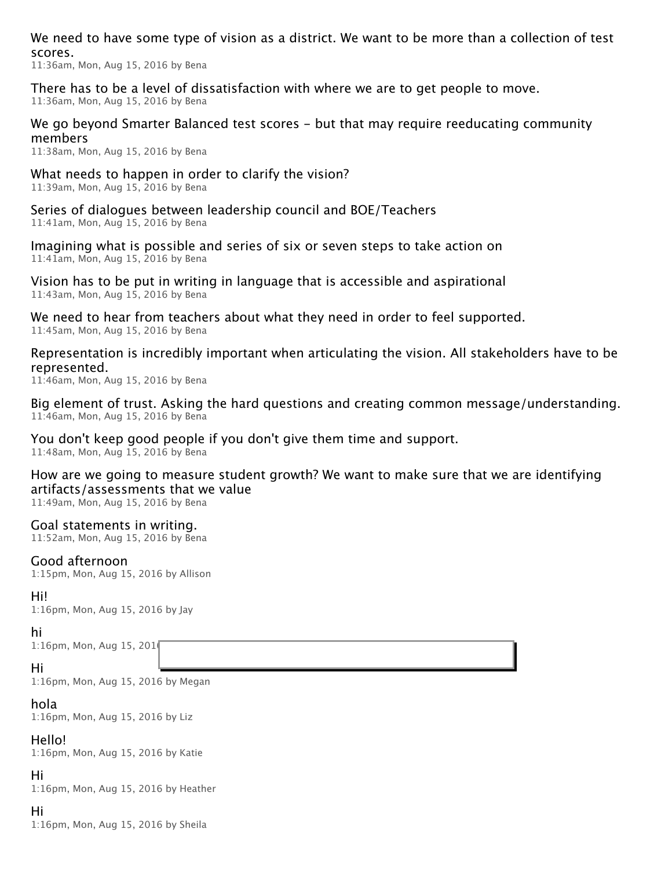We need to have some type of vision as a district. We want to be more than a collection of test scores.

11:36am, Mon, Aug 15, 2016 by Bena

There has to be a level of dissatisfaction with where we are to get people to move. 11:36am, Mon, Aug 15, 2016 by Bena

#### We go beyond Smarter Balanced test scores – but that may require reeducating community members

11:38am, Mon, Aug 15, 2016 by Bena

What needs to happen in order to clarify the vision? 11:39am, Mon, Aug 15, 2016 by Bena

Series of dialogues between leadership council and BOE/Teachers 11:41am, Mon, Aug 15, 2016 by Bena

Imagining what is possible and series of six or seven steps to take action on 11:41am, Mon, Aug 15, 2016 by Bena

Vision has to be put in writing in language that is accessible and aspirational 11:43am, Mon, Aug 15, 2016 by Bena

We need to hear from teachers about what they need in order to feel supported. 11:45am, Mon, Aug 15, 2016 by Bena

Representation is incredibly important when articulating the vision. All stakeholders have to be represented.

11:46am, Mon, Aug 15, 2016 by Bena

Big element of trust. Asking the hard questions and creating common message/understanding. 11:46am, Mon, Aug 15, 2016 by Bena

You don't keep good people if you don't give them time and support.

11:48am, Mon, Aug 15, 2016 by Bena

How are we going to measure student growth? We want to make sure that we are identifying artifacts/assessments that we value

11:49am, Mon, Aug 15, 2016 by Bena

#### Goal statements in writing.

11:52am, Mon, Aug 15, 2016 by Bena

#### Good afternoon

1:15pm, Mon, Aug 15, 2016 by Allison

#### Hi!

1:16pm, Mon, Aug 15, 2016 by Jay

#### hi

1:16pm, Mon, Aug 15, 201

#### Hi

1:16pm, Mon, Aug 15, 2016 by Megan

#### hola

1:16pm, Mon, Aug 15, 2016 by Liz

#### Hello!

1:16pm, Mon, Aug 15, 2016 by Katie

#### Hi

1:16pm, Mon, Aug 15, 2016 by Heather

#### Hi

1:16pm, Mon, Aug 15, 2016 by Sheila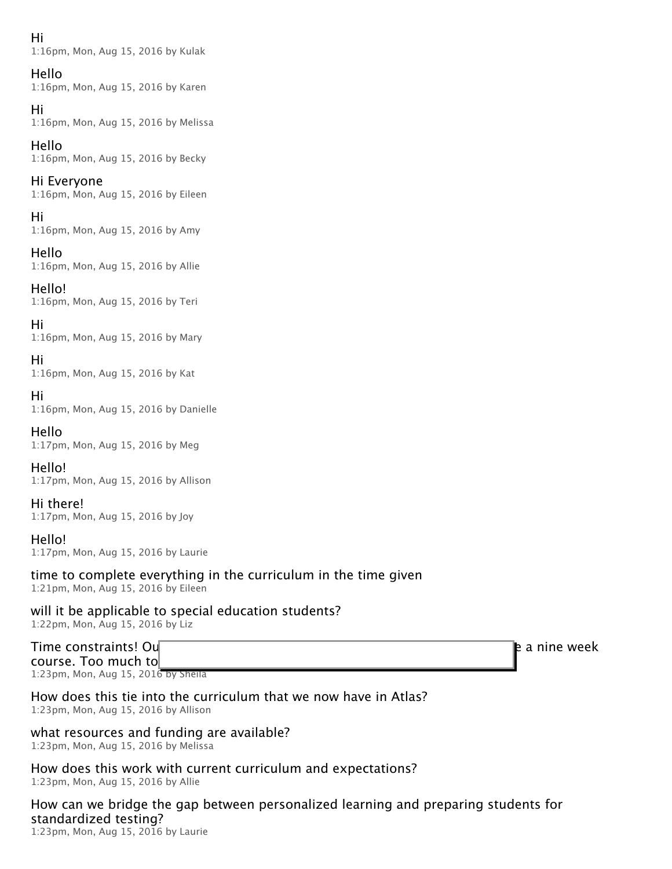#### Hi

1:16pm, Mon, Aug 15, 2016 by Kulak

#### Hello

1:16pm, Mon, Aug 15, 2016 by Karen

#### Hi

1:16pm, Mon, Aug 15, 2016 by Melissa

#### Hello

1:16pm, Mon, Aug 15, 2016 by Becky

#### Hi Everyone

1:16pm, Mon, Aug 15, 2016 by Eileen

#### Hi

1:16pm, Mon, Aug 15, 2016 by Amy

#### Hello

1:16pm, Mon, Aug 15, 2016 by Allie

Hello! 1:16pm, Mon, Aug 15, 2016 by Teri

Hi 1:16pm, Mon, Aug 15, 2016 by Mary

Hi 1:16pm, Mon, Aug 15, 2016 by Kat

#### Hi 1:16pm, Mon, Aug 15, 2016 by Danielle

Hello 1:17pm, Mon, Aug 15, 2016 by Meg

#### Hello! 1:17pm, Mon, Aug 15, 2016 by Allison

Hi there! 1:17pm, Mon, Aug 15, 2016 by Joy

#### Hello! 1:17pm, Mon, Aug 15, 2016 by Laurie

# time to complete everything in the curriculum in the time given

1:21pm, Mon, Aug 15, 2016 by Eileen

# will it be applicable to special education students?

1:22pm, Mon, Aug 15, 2016 by Liz

#### Time constraints! Our grade 9 health course has now been crunched into grade a nine week crunched into grade a nine week course. Too much to

1:23pm, Mon, Aug 15, 2016 by Sheila

#### How does this tie into the curriculum that we now have in Atlas? 1:23pm, Mon, Aug 15, 2016 by Allison

# what resources and funding are available?

1:23pm, Mon, Aug 15, 2016 by Melissa

#### How does this work with current curriculum and expectations? 1:23pm, Mon, Aug 15, 2016 by Allie

# How can we bridge the gap between personalized learning and preparing students for standardized testing?

1:23pm, Mon, Aug 15, 2016 by Laurie